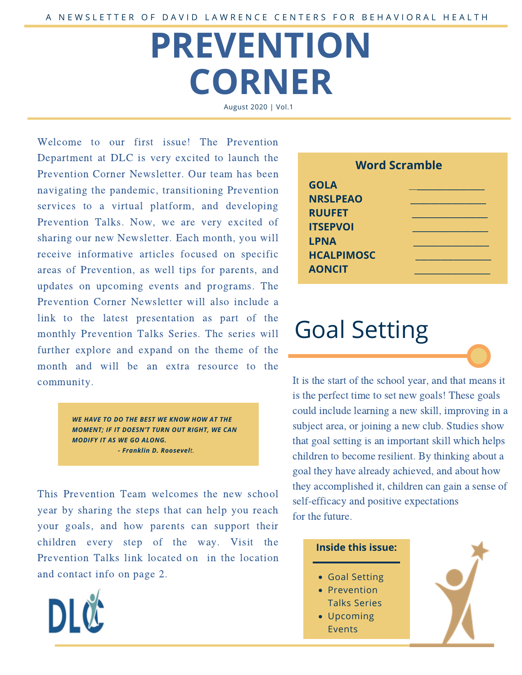# **PREVENTION CORNER**

August 2020 | Vol.1

Welcome to our first issue! The Prevention Department at DLC is very excited to launch the Prevention Corner Newsletter. Our team has been navigating the pandemic, transitioning Prevention services to a virtual platform, and developing Prevention Talks. Now, we are very excited of sharing our new Newsletter. Each month, you will receive informative articles focused on specific areas of Prevention, as well tips for parents, and updates on upcoming events and programs. The Prevention Corner Newsletter will also include a link to the latest presentation as part of the monthly Prevention Talks Series. The series will further explore and expand on the theme of the month and will be an extra resource to the community.

> *WE HAVE TO DO THE BEST WE KNOW HOW AT THE MOMENT; IF IT DOESN'T TURN OUT RIGHT, WE CAN MODIFY IT AS WE GO ALONG. - Franklin D. Roosevelt.*

This Prevention Team welcomes the new school year by sharing the steps that can help you reach your goals, and how parents can support their children every step of the way. Visit the Prevention Talks link located on in the location and contact info on page 2.



| <b>Word Scramble</b> |  |
|----------------------|--|
| <b>GOLA</b>          |  |
| <b>NRSLPEAO</b>      |  |
| <b>RUUFET</b>        |  |
| <b>ITSEPVOI</b>      |  |
| <b>LPNA</b>          |  |
| <b>HCALPIMOSC</b>    |  |
| <b>AONCIT</b>        |  |
|                      |  |

## Goal Setting

It is the start of the school year, and that means it is the perfect time to set new goals! These goals could include learning a new skill, improving in a subject area, or joining a new club. Studies show that goal setting is an important skill which helps children to become resilient. By thinking about a goal they have already achieved, and about how they accomplished it, children can gain a sense of self-efficacy and positive expectations for the future.

#### **Inside this issue:**

- Goal Setting
- Prevention
- Talks Series
- Upcoming Events